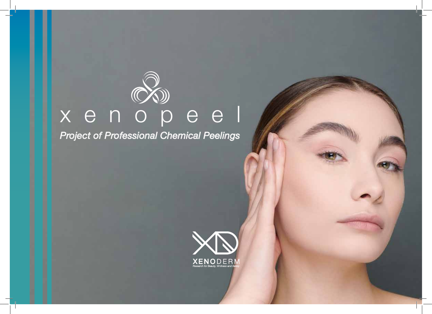# x e n o p e e l

*Project of Professional Chemical Peelings*

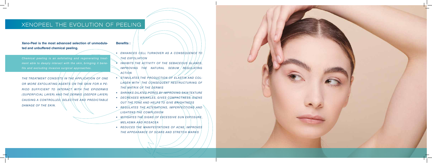**Xeno-Peel is the most advanced selection of unmodulated and unbuffered chemical peeling.** 

*Chemical peeling is an exfoliating and regenerating treatment able to deeply interact with the skin, bringing it benefits and excluding invasive surgical approaches.*

*THE TREATMENT CONSISTS IN THE APPLICATION OF ONE OR MORE EXFOLIATING AGENTS ON THE SKIN FOR A PE-RIOD SUFFICIENT TO INTERACT WITH THE EPIDERMIS (SUPERFICIAL LAYER) AND THE DERMIS (DEEPER LAYER) CAUSING A CONTROLLED, SELECTIVE AND PREDICTABLE DAMAGE OF THE SKIN.*

#### **Benefits :**

- *• ENHANCES CELL TURNOVER AS A CONSEQUENCE TO THE EXFOLIATION*
- *• INHIBITS THE ACTIVITY OF THE SEBACEOUS GLANDS, IMPROVING THE NATURAL SEBUM REGULATING ACTION*
- STIMULATES THE PRODUCTION OF ELASTIN AND COL-LAGEN WITH THE CONSEQUENT RESTRUCTURING OF *THE MATRIX OF THE DERMIS*
- *• SHRINKS DILATED PORES BY IMPROVING SKIN TEXTURE*
- *• DECREASES WRINKLES, GIVES COMPACTNESS, EVENS OUT THE TONE AND HELPS TO GIVE BRIGHTNESS*
- *• REGULATES THE ALTERATIONS, IMPERFECTIONS AND LIGHTENS THE COMPLEXION*
- *• MITIGATES THE SIGNS OF EXCESSIVE SUN EXPOSURE, MELASMA AND ROSACEA*
- *• REDUCES THE MANIFESTATIONS OF ACNE, IMPROVES THE APPEARANCE OF SCARS AND STRETCH MARKS*



### XENOPEEL THE EVOLUTION OF PEELING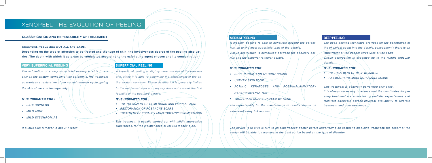#### VERY SUPERFICIAL PEELING

*The exfoliation of a very superficial peeling is able to act*  only on the stratum corneum/of the epidermis. The treatment *guarantees a restoration of the normal turnover cycle, giving the skin shine and homogeneity.*

#### *IT IS INDICATED FOR :*

- *• SKIN DRYNESS*
- *• MILD ACNE*
- *• MILD DYSCHROMIAS*

*It allows skin turnover in about 1 week.*

#### SUPERFICIAL PEELING

*A superficial peeling is slightly more invasive of the previous one, since it is able to determine the detachment of the entire stratum corneum. Tissue destruction is generally limited to the epidermal area and anyway does not exceed the first foothills of the papillary dermis.*

#### *IT IS INDICATED FOR :*

- *• THE TREATMENT OF COMEDONIC AND PAPULAR ACNE*
- *• RESTORATION OF POST-ACNE SCARS*
- *• TREATMENT OF POST-INFLAMMATORY HYPERPIGMENTATION*

*This treatment is usually carried out with mildly aggressive substances, for the maintenance of results it should be.*

#### MEDIUM PEELING

*A medium peeling is able to penetrate beyond the epidermis, up to the most superficial part of the dermis. Tissue destruction is comprised between the papillary dermis and the superior reticular dermis.*

#### *IT IS INDICATED FOR:*

Depending on the type of affection to be treated and the type of skin, the invasiveness degree of the peeling also va-/ **ries. The depth with which it acts can be modulated according to the exfoliating agent chosen and its concentration:**

- *• SUPERFICIAL AND MEDIUM SCARS*
- *• UNEVEN SKIN TONE*
- *• ACTINIC KERATOSES AND POST-INFLAMMATORY HYPERPIGMENTATION*
- *MODERATE SCARS CAUSED BY ACNE*

*The repeatability for the maintenance of results should be estimated every 3-9 months.*

#### DEEP PEELING

*The deep peeling technique provides for the penetration of the chemical agent into the dermis, consequently there is an impairment of the deeper structures of the same. Tissue destruction is expected up to the middle reticular dermis.*

#### *IT IS INDICATED FOR:*

- *• THE TREATMENT OF DEEP WRINKLES*
- *• TO SMOOTH THE MOST NOTICEABLE SCARS*

*This treatment is generally performed only once. it is always necessary to assess that the candidates for peeling treatment are animated by realistic expectations and manifest adequate psycho-physical availability to tolerate treatment and convalescence.* 

## XENOPEEL THE EVOLUTION OF PEELING

#### **CLASSIFICATION AND REPEATABILITY OF TREATMENT**

#### *CHEMICAL PEELS ARE NOT ALL THE SAME.*

*The advice is to always turn to an experienced doctor before undertaking an aesthetic medicine treatment: the expert of the sector will be able to recommend the best option based on the type of disorder.*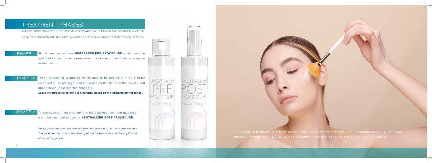6

#### TREATMENT PHASES

#### PHASE 1

BEFORE PROCEEDING WITH THE TREATMENT, PREPARATION, CLEANING AND DEGREASING OF THE AREA TO BE TREATED ARE REQUIRED, IN ORDER TO INCREASE PRODUCT PENETRATION CAPACITY.

> *The advice is to always turn to an experienced doctor before undertaking an aesthetic medicine treatment: the expert of the sector will be able to recommend the best option based on the type of disorder.*

PHASE 2 Then, the peeling is applied on the area to be treated with the dropper (supplied in the package) and uniformed on the skin with the aid of a soft bristle brush (possibly "fan-shaped").

 $PHASE$   $3$  To decrease burning or stinging in the post-treatment and give relief, it is recommended to use our **NEUTRALIZER POST-PROCEDURE**.

Skin is cleansed with our **DEGREASER PRE-PROCEDURE** to eliminate the patina of sebum normally present on the skin and make it more receptive to treatment.

**Leave the product to act for 2 to 5 minutes, based on the inflammatory response .**

*Spray our product on the treated area and leave it to act for a few minutes. The treatment ends with the rinsing of the treated area and the application of a soothing cream.*

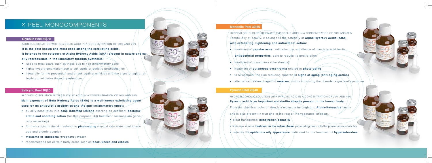#### X-PEEL MONOCOMPONENTS

#### **Glycolic Peel 50|70**

AQUEOUS SOLUTION WITH GLYCOLIC ACID IN A CONCENTRATION OF 50% AND 70%

**It is the best known and most used among the exfoliating acids. It belongs to the category of Alpha Hydroxy Acids (AHA) present in nature and easily reproducible in the laboratory through synthesis:**

- used to treat scars such as those due to non-inflammatory acne
- fights hyperpigmentation/due to sun spots or genetic predisposition
- Ideal ally for the prevention and attack against wrinkles and the signs of aging, allowing to minimize these imperfections

#### **Mandelic Peel 30|60**

ALCOHOLIC SOLUTION WITH SALICYLIC ACID IN A CONCENTRATION OF 10% AND 20% **Main exponent of Beta Hydroxy Acids (BHA) is a well-known exfoliating agent used for its antipyretic properties and the anti-inflammatory effect:** 

HYDROALCOHOLIC SOLUTION WITH MANDELIC ACID IN A CONCENTRATION OF 30% AND 60% Faithful ally of beauty, it belongs to the category of **Alpha Hydroxy Acids (AHA) with exfoliating, lightening and antioxidant action:**

- treatment/of **papular acne**: indication par excellence of mandelic acid for its
	- **antibacterial properties**, able to reduce its proliferation
- $\leftrightarrow$  treatment of comedones (blackheads)
- treatment of **cutaneous dyschromia** related to **photo-aging**
- to re-compact the skin reducing superficial **signs of aging (anti-aging action)**
- alternative treatment against **rosacea**, visibly improving the disorder signs and symptoms

HYDROALCOHOLIC SOLUTION WITH PYRUVIC ACID IN A CONCENTRATION OF 20% AND 40% **Pyruvic acid is an important metabolite already present in the human body.**

From the chemical point of view is a molecule belonging to **Alpha-Ketoacids** family and is also present in fruit and in the rest of the vegetable kingdom.

#### **Salicylic Peel 10|20**

- quickly penetrates into **acne inflamed lesions** exerting an excellent **bacterio**static and soothing action (for this purpose, 4-6 treatment sessions are gene-/ rally necessary)
- for dark spots on the skin related to **photo-aging** (typical skin state of middle-aged and elderly people)
- **• melasma or chloasma** *(pregnancy mask)*
- recommended for certain body areas such as **back, knees and elbows**



#### **Pyruvic Peel 20|40**

- great transdermal **penetration capacity**
- **•** finds use in acne **treatment in the active phase**: penetrating deep into the pilosebaceous follicles
- reduces the **epidermis oily appearance**, indicated for the treatment of **hyperseborrhea**

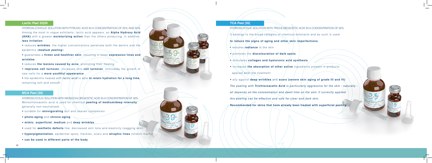#### **Lactic Peel 20|50**

HYDROALCOHOLIC SOLUTION WITH PYRUVIC ACID IN A CONCENTRATION OF 20% AND 50% Among the most in vogue exfoliants, lactic acid appears, an **Alpha Hydroxy Acid (AHA)** with a greater **moisturizing action** than the others producing, in addition, **less irritation**:

• reduces **wrinkles**: the higher concentrations penetrate both the dermis and the epidermis (*medium peeling*)

- reduces the lesions caused by acne, promoting their healing
- **improves cell turnover**, increases skin **cell turnover**, stimulates the growth of new cells for a **more youthful appearance**

• the epidermis treated with *lactic*/acid is able **to retain hydration for a long time**, remaining soft and smooth

• guarantees a **firmer and healthier skin**, resulting in fewer **expression lines and wrinkles**

- **restores <b>radiance** to the skin
- promotes the **discolouration of dark spots**
- stimulates **collagen and hyaluronic acid synthesis**
- increases the absorption of other active ingredients present in products applied after the treatment
- ally against **deep wrinkles** and **scars (severe skin aging of grade III and IV)**

#### **TCA Peel |35|**

HYDROGLYCOLIC SOLUTION WITH TRICHLOROACETIC ACID IN A CONCENTRATION OF 35%

It belongs to the broad category of chemical exfoliants and as such is used

#### **to reduce the signs of aging and other skin imperfections**:

*The peeling with* **Trichloroacetic Acid** *is particularly aggressive for the skin - naturally -*

*all depends on the concentration and dwell time on the skin. If correctly applied*

*this peeling can be effective and safe for clear and dark skin.* 

**Recommended for skins that have already been treated with superficial peeling.**

- suitable for **reinvigorating** dull and uneven complexion
- **photo-aging** and **chrono-aging**
- **mimic**, **superficial**, **medium** and **deep wrinkles**
- used for **aesthetic defects** like: decreased skin tone and elasticity (sagging skin)
- • **hyperpigmentation**, epidermal spots, freckles, scars and **atrophic lines** (stretch marks)
- **can be used in different parts of the body**



#### **MCA Peel |30|**

HYDROGLYCOLIC SOLUTION WITH MONOCHLOROACETIC ACID IN A CONCENTRATION OF 30% Monochloroacetic acid is used for chemical **peeling of medium/deep intensity**, generally non-neutralized: